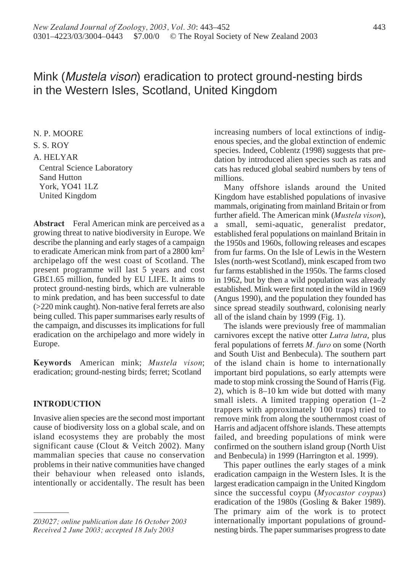# Mink (Mustela vison) eradication to protect ground-nesting birds in the Western Isles, Scotland, United Kingdom

N. P. MOORE S. S. ROY A. HELYAR Central Science Laboratory Sand Hutton York, YO41 1LZ United Kingdom

**Abstract** Feral American mink are perceived as a growing threat to native biodiversity in Europe. We describe the planning and early stages of a campaign to eradicate American mink from part of a 2800 km2 archipelago off the west coast of Scotland. The present programme will last 5 years and cost GB£1.65 million, funded by EU LIFE. It aims to protect ground-nesting birds, which are vulnerable to mink predation, and has been successful to date (>220 mink caught). Non-native feral ferrets are also being culled. This paper summarises early results of the campaign, and discusses its implications for full eradication on the archipelago and more widely in Europe.

**Keywords** American mink; *Mustela vison*; eradication; ground-nesting birds; ferret; Scotland

## **INTRODUCTION**

Invasive alien species are the second most important cause of biodiversity loss on a global scale, and on island ecosystems they are probably the most significant cause (Clout & Veitch 2002). Many mammalian species that cause no conservation problems in their native communities have changed their behaviour when released onto islands, intentionally or accidentally. The result has been increasing numbers of local extinctions of indigenous species, and the global extinction of endemic species. Indeed, Coblentz (1998) suggests that predation by introduced alien species such as rats and cats has reduced global seabird numbers by tens of millions.

Many offshore islands around the United Kingdom have established populations of invasive mammals, originating from mainland Britain or from further afield. The American mink (*Mustela vison*), a small, semi-aquatic, generalist predator, established feral populations on mainland Britain in the 1950s and 1960s, following releases and escapes from fur farms. On the Isle of Lewis in the Western Isles (north-west Scotland), mink escaped from two fur farms established in the 1950s. The farms closed in 1962, but by then a wild population was already established. Mink were first noted in the wild in 1969 (Angus 1990), and the population they founded has since spread steadily southward, colonising nearly all of the island chain by 1999 (Fig. 1).

The islands were previously free of mammalian carnivores except the native otter *Lutra lutra*, plus feral populations of ferrets *M. furo* on some (North and South Uist and Benbecula). The southern part of the island chain is home to internationally important bird populations, so early attempts were made to stop mink crossing the Sound of Harris (Fig. 2), which is 8–10 km wide but dotted with many small islets. A limited trapping operation (1–2 trappers with approximately 100 traps) tried to remove mink from along the southernmost coast of Harris and adjacent offshore islands. These attempts failed, and breeding populations of mink were confirmed on the southern island group (North Uist and Benbecula) in 1999 (Harrington et al. 1999).

This paper outlines the early stages of a mink eradication campaign in the Western Isles. It is the largest eradication campaign in the United Kingdom since the successful coypu (*Myocastor coypus*) eradication of the 1980s (Gosling & Baker 1989). The primary aim of the work is to protect internationally important populations of groundnesting birds. The paper summarises progress to date

*Z03027; online publication date 16 October 2003 Received 2 June 2003; accepted 18 July 2003*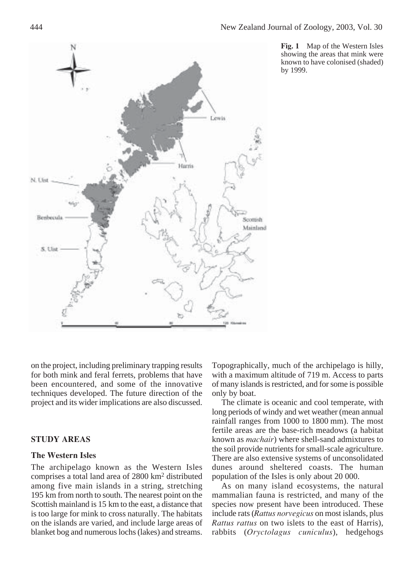

**Fig. 1** Map of the Western Isles showing the areas that mink were known to have colonised (shaded) by 1999.

on the project, including preliminary trapping results for both mink and feral ferrets, problems that have been encountered, and some of the innovative techniques developed. The future direction of the project and its wider implications are also discussed.

## **STUDY AREAS**

#### **The Western Isles**

The archipelago known as the Western Isles comprises a total land area of 2800 km2 distributed among five main islands in a string, stretching 195 km from north to south. The nearest point on the Scottish mainland is 15 km to the east, a distance that is too large for mink to cross naturally. The habitats on the islands are varied, and include large areas of blanket bog and numerous lochs (lakes) and streams.

Topographically, much of the archipelago is hilly, with a maximum altitude of 719 m. Access to parts of many islands is restricted, and for some is possible only by boat.

The climate is oceanic and cool temperate, with long periods of windy and wet weather (mean annual rainfall ranges from 1000 to 1800 mm). The most fertile areas are the base-rich meadows (a habitat known as *machair*) where shell-sand admixtures to the soil provide nutrients for small-scale agriculture. There are also extensive systems of unconsolidated dunes around sheltered coasts. The human population of the Isles is only about 20 000.

As on many island ecosystems, the natural mammalian fauna is restricted, and many of the species now present have been introduced. These include rats (*Rattus norvegicus* on most islands, plus *Rattus rattus* on two islets to the east of Harris), rabbits (*Oryctolagus cuniculus*), hedgehogs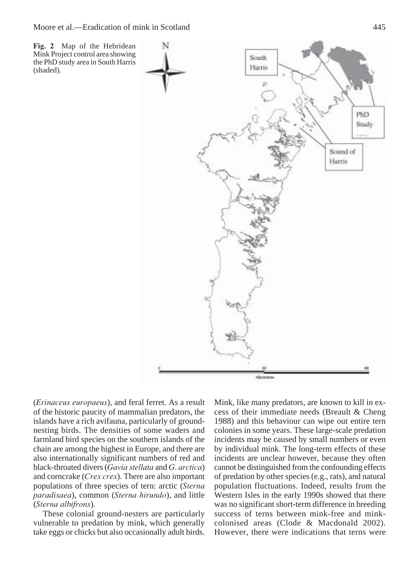

(*Erinaceus europaeus*), and feral ferret. As a result of the historic paucity of mammalian predators, the islands have a rich avifauna, particularly of groundnesting birds. The densities of some waders and farmland bird species on the southern islands of the chain are among the highest in Europe, and there are also internationally significant numbers of red and black-throated divers (*Gavia stellata* and *G*. *arctica*) and corncrake (*Crex crex*). There are also important populations of three species of tern: arctic (*Sterna paradisaea*), common (*Sterna hirundo*), and little (*Sterna albifrons*).

These colonial ground-nesters are particularly vulnerable to predation by mink, which generally take eggs or chicks but also occasionally adult birds. Mink, like many predators, are known to kill in excess of their immediate needs (Breault & Cheng 1988) and this behaviour can wipe out entire tern colonies in some years. These large-scale predation incidents may be caused by small numbers or even by individual mink. The long-term effects of these incidents are unclear however, because they often cannot be distinguished from the confounding effects of predation by other species (e.g., rats), and natural population fluctuations. Indeed, results from the Western Isles in the early 1990s showed that there was no significant short-term difference in breeding success of terns between mink-free and minkcolonised areas (Clode & Macdonald 2002). However, there were indications that terns were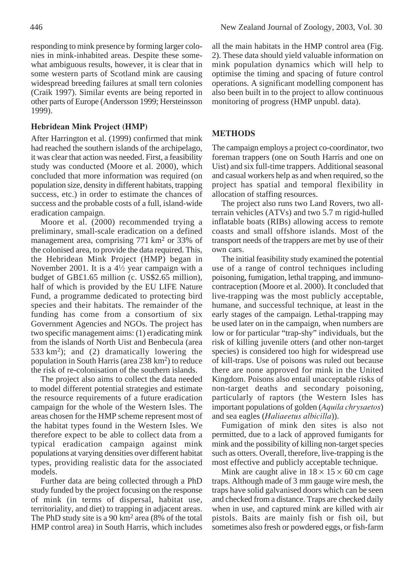some western parts of Scotland mink are causing widespread breeding failures at small tern colonies (Craik 1997). Similar events are being reported in other parts of Europe (Andersson 1999; Hersteinsson 1999).

## **Hebridean Mink Project (HMP)**

After Harrington et al. (1999) confirmed that mink had reached the southern islands of the archipelago, it was clear that action was needed. First, a feasibility study was conducted (Moore et al. 2000), which concluded that more information was required (on population size, density in different habitats, trapping success, etc.) in order to estimate the chances of success and the probable costs of a full, island-wide eradication campaign.

Moore et al. (2000) recommended trying a preliminary, small-scale eradication on a defined management area, comprising 771 km<sup>2</sup> or 33% of the colonised area, to provide the data required. This, the Hebridean Mink Project (HMP) began in November 2001. It is a  $4\frac{1}{2}$  year campaign with a budget of GB£1.65 million (c. US\$2.65 million), half of which is provided by the EU LIFE Nature Fund, a programme dedicated to protecting bird species and their habitats. The remainder of the funding has come from a consortium of six Government Agencies and NGOs. The project has two specific management aims: (1) eradicating mink from the islands of North Uist and Benbecula (area 533 km<sup>2</sup>); and (2) dramatically lowering the population in South Harris (area 238 km2) to reduce the risk of re-colonisation of the southern islands.

The project also aims to collect the data needed to model different potential strategies and estimate the resource requirements of a future eradication campaign for the whole of the Western Isles. The areas chosen for the HMP scheme represent most of the habitat types found in the Western Isles. We therefore expect to be able to collect data from a typical eradication campaign against mink populations at varying densities over different habitat types, providing realistic data for the associated models.

Further data are being collected through a PhD study funded by the project focusing on the response of mink (in terms of dispersal, habitat use, territoriality, and diet) to trapping in adjacent areas. The PhD study site is a 90 km<sup>2</sup> area (8% of the total HMP control area) in South Harris, which includes

all the main habitats in the HMP control area (Fig. 2). These data should yield valuable information on mink population dynamics which will help to optimise the timing and spacing of future control operations. A significant modelling component has also been built in to the project to allow continuous monitoring of progress (HMP unpubl. data).

## **METHODS**

The campaign employs a project co-coordinator, two foreman trappers (one on South Harris and one on Uist) and six full-time trappers. Additional seasonal and casual workers help as and when required, so the project has spatial and temporal flexibility in allocation of staffing resources.

The project also runs two Land Rovers, two allterrain vehicles (ATVs) and two 5.7 m rigid-hulled inflatable boats (RIBs) allowing access to remote coasts and small offshore islands. Most of the transport needs of the trappers are met by use of their own cars.

The initial feasibility study examined the potential use of a range of control techniques including poisoning, fumigation, lethal trapping, and immunocontraception (Moore et al. 2000). It concluded that live-trapping was the most publicly acceptable, humane, and successful technique, at least in the early stages of the campaign. Lethal-trapping may be used later on in the campaign, when numbers are low or for particular "trap-shy" individuals, but the risk of killing juvenile otters (and other non-target species) is considered too high for widespread use of kill-traps. Use of poisons was ruled out because there are none approved for mink in the United Kingdom. Poisons also entail unacceptable risks of non-target deaths and secondary poisoning, particularly of raptors (the Western Isles has important populations of golden (*Aquila chrysaetos*) and sea eagles (*Haliaeetus albicilla*)).

Fumigation of mink den sites is also not permitted, due to a lack of approved fumigants for mink and the possibility of killing non-target species such as otters. Overall, therefore, live-trapping is the most effective and publicly acceptable technique.

Mink are caught alive in  $18 \times 15 \times 60$  cm cage traps. Although made of 3 mm gauge wire mesh, the traps have solid galvanised doors which can be seen and checked from a distance. Traps are checked daily when in use, and captured mink are killed with air pistols. Baits are mainly fish or fish oil, but sometimes also fresh or powdered eggs, or fish-farm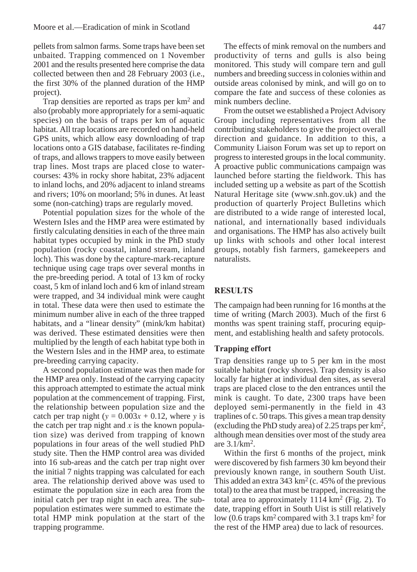pellets from salmon farms. Some traps have been set unbaited. Trapping commenced on 1 November 2001 and the results presented here comprise the data collected between then and 28 February 2003 (i.e., the first 30% of the planned duration of the HMP project).

Trap densities are reported as traps per  $km<sup>2</sup>$  and also (probably more appropriately for a semi-aquatic species) on the basis of traps per km of aquatic habitat. All trap locations are recorded on hand-held GPS units, which allow easy downloading of trap locations onto a GIS database, facilitates re-finding of traps, and allows trappers to move easily between trap lines. Most traps are placed close to watercourses: 43% in rocky shore habitat, 23% adjacent to inland lochs, and 20% adjacent to inland streams and rivers; 10% on moorland; 5% in dunes. At least some (non-catching) traps are regularly moved.

Potential population sizes for the whole of the Western Isles and the HMP area were estimated by firstly calculating densities in each of the three main habitat types occupied by mink in the PhD study population (rocky coastal, inland stream, inland loch). This was done by the capture-mark-recapture technique using cage traps over several months in the pre-breeding period. A total of 13 km of rocky coast, 5 km of inland loch and 6 km of inland stream were trapped, and 34 individual mink were caught in total. These data were then used to estimate the minimum number alive in each of the three trapped habitats, and a "linear density" (mink/km habitat) was derived. These estimated densities were then multiplied by the length of each habitat type both in the Western Isles and in the HMP area, to estimate pre-breeding carrying capacity.

A second population estimate was then made for the HMP area only. Instead of the carrying capacity this approach attempted to estimate the actual mink population at the commencement of trapping. First, the relationship between population size and the catch per trap night ( $y = 0.003x + 0.12$ , where *y* is the catch per trap night and  $x$  is the known population size) was derived from trapping of known populations in four areas of the well studied PhD study site. Then the HMP control area was divided into 16 sub-areas and the catch per trap night over the initial 7 nights trapping was calculated for each area. The relationship derived above was used to estimate the population size in each area from the initial catch per trap night in each area. The subpopulation estimates were summed to estimate the total HMP mink population at the start of the trapping programme.

The effects of mink removal on the numbers and productivity of terns and gulls is also being monitored. This study will compare tern and gull numbers and breeding success in colonies within and outside areas colonised by mink, and will go on to compare the fate and success of these colonies as mink numbers decline.

From the outset we established a Project Advisory Group including representatives from all the contributing stakeholders to give the project overall direction and guidance. In addition to this, a Community Liaison Forum was set up to report on progress to interested groups in the local community. A proactive public communications campaign was launched before starting the fieldwork. This has included setting up a website as part of the Scottish Natural Heritage site (www.snh.gov.uk) and the production of quarterly Project Bulletins which are distributed to a wide range of interested local, national, and internationally based individuals and organisations. The HMP has also actively built up links with schools and other local interest groups, notably fish farmers, gamekeepers and naturalists.

## **RESULTS**

The campaign had been running for 16 months at the time of writing (March 2003). Much of the first 6 months was spent training staff, procuring equipment, and establishing health and safety protocols.

#### **Trapping effort**

Trap densities range up to 5 per km in the most suitable habitat (rocky shores). Trap density is also locally far higher at individual den sites, as several traps are placed close to the den entrances until the mink is caught. To date, 2300 traps have been deployed semi-permanently in the field in 43 traplines of c. 50 traps. This gives a mean trap density (excluding the PhD study area) of 2.25 traps per km2, although mean densities over most of the study area are 3.1/km2.

Within the first 6 months of the project, mink were discovered by fish farmers 30 km beyond their previously known range, in southern South Uist. This added an extra 343 km<sup>2</sup> (c. 45% of the previous total) to the area that must be trapped, increasing the total area to approximately  $1114 \text{ km}^2$  (Fig. 2). To date, trapping effort in South Uist is still relatively low (0.6 traps  $km^2$  compared with 3.1 traps  $km^2$  for the rest of the HMP area) due to lack of resources.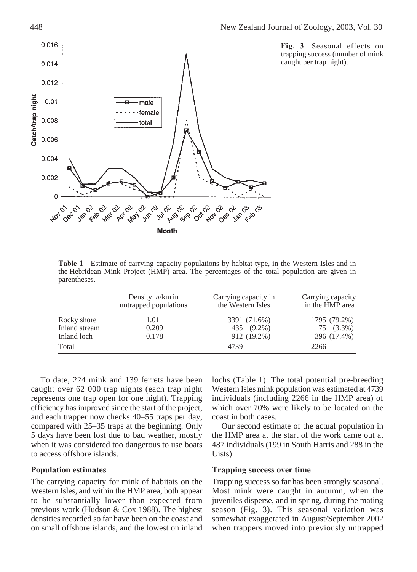

**Fig. 3** Seasonal effects on trapping success (number of mink caught per trap night).

**Table 1** Estimate of carrying capacity populations by habitat type, in the Western Isles and in the Hebridean Mink Project (HMP) area. The percentages of the total population are given in parentheses.

|               | Density, $n/km$ in<br>untrapped populations | Carrying capacity in<br>the Western Isles | Carrying capacity<br>in the HMP area |
|---------------|---------------------------------------------|-------------------------------------------|--------------------------------------|
| Rocky shore   | 1.01                                        | 3391 (71.6%)                              | 1795 (79.2%)                         |
| Inland stream | 0.209                                       | 435 (9.2%)                                | 75 (3.3%)                            |
| Inland loch   | 0.178                                       | 912 (19.2%)                               | 396 (17.4%)                          |
| Total         |                                             | 4739                                      | 2266                                 |

To date, 224 mink and 139 ferrets have been caught over 62 000 trap nights (each trap night represents one trap open for one night). Trapping efficiency has improved since the start of the project, and each trapper now checks 40–55 traps per day, compared with 25–35 traps at the beginning. Only 5 days have been lost due to bad weather, mostly when it was considered too dangerous to use boats to access offshore islands.

## **Population estimates**

The carrying capacity for mink of habitats on the Western Isles, and within the HMP area, both appear to be substantially lower than expected from previous work (Hudson & Cox 1988). The highest densities recorded so far have been on the coast and on small offshore islands, and the lowest on inland lochs (Table 1). The total potential pre-breeding Western Isles mink population was estimated at 4739 individuals (including 2266 in the HMP area) of which over 70% were likely to be located on the coast in both cases.

Our second estimate of the actual population in the HMP area at the start of the work came out at 487 individuals (199 in South Harris and 288 in the Uists).

#### **Trapping success over time**

Trapping success so far has been strongly seasonal. Most mink were caught in autumn, when the juveniles disperse, and in spring, during the mating season (Fig. 3). This seasonal variation was somewhat exaggerated in August/September 2002 when trappers moved into previously untrapped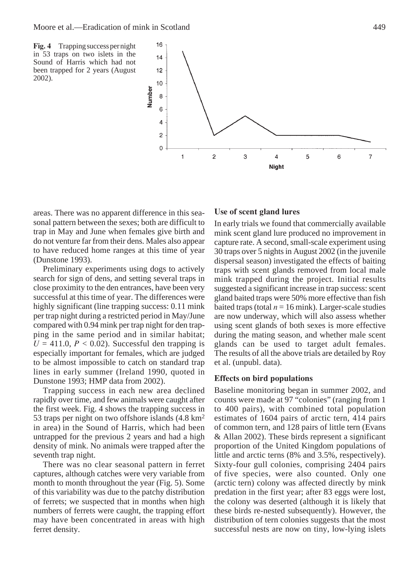**Fig. 4** Trapping success per night in 53 traps on two islets in the Sound of Harris which had not been trapped for 2 years (August 2002).



areas. There was no apparent difference in this seasonal pattern between the sexes; both are difficult to trap in May and June when females give birth and do not venture far from their dens. Males also appear to have reduced home ranges at this time of year (Dunstone 1993).

Preliminary experiments using dogs to actively search for sign of dens, and setting several traps in close proximity to the den entrances, have been very successful at this time of year. The differences were highly significant (line trapping success: 0.11 mink per trap night during a restricted period in May/June compared with 0.94 mink per trap night for den trapping in the same period and in similar habitat;  $U = 411.0$ ,  $P < 0.02$ ). Successful den trapping is especially important for females, which are judged to be almost impossible to catch on standard trap lines in early summer (Ireland 1990, quoted in Dunstone 1993; HMP data from 2002).

Trapping success in each new area declined rapidly over time, and few animals were caught after the first week. Fig. 4 shows the trapping success in 53 traps per night on two offshore islands (4.8 km2 in area) in the Sound of Harris, which had been untrapped for the previous 2 years and had a high density of mink. No animals were trapped after the seventh trap night.

There was no clear seasonal pattern in ferret captures, although catches were very variable from month to month throughout the year (Fig. 5). Some of this variability was due to the patchy distribution of ferrets; we suspected that in months when high numbers of ferrets were caught, the trapping effort may have been concentrated in areas with high ferret density.

## **Use of scent gland lures**

In early trials we found that commercially available mink scent gland lure produced no improvement in capture rate. A second, small-scale experiment using 30 traps over 5 nights in August 2002 (in the juvenile dispersal season) investigated the effects of baiting traps with scent glands removed from local male mink trapped during the project. Initial results suggested a significant increase in trap success: scent gland baited traps were 50% more effective than fish baited traps (total  $n = 16$  mink). Larger-scale studies are now underway, which will also assess whether using scent glands of both sexes is more effective during the mating season, and whether male scent glands can be used to target adult females. The results of all the above trials are detailed by Roy et al. (unpubl. data).

#### **Effects on bird populations**

Baseline monitoring began in summer 2002, and counts were made at 97 "colonies" (ranging from 1 to 400 pairs), with combined total population estimates of 1604 pairs of arctic tern, 414 pairs of common tern, and 128 pairs of little tern (Evans & Allan 2002). These birds represent a significant proportion of the United Kingdom populations of little and arctic terns (8% and 3.5%, respectively). Sixty-four gull colonies, comprising 2404 pairs of five species, were also counted. Only one (arctic tern) colony was affected directly by mink predation in the first year; after 83 eggs were lost, the colony was deserted (although it is likely that these birds re-nested subsequently). However, the distribution of tern colonies suggests that the most successful nests are now on tiny, low-lying islets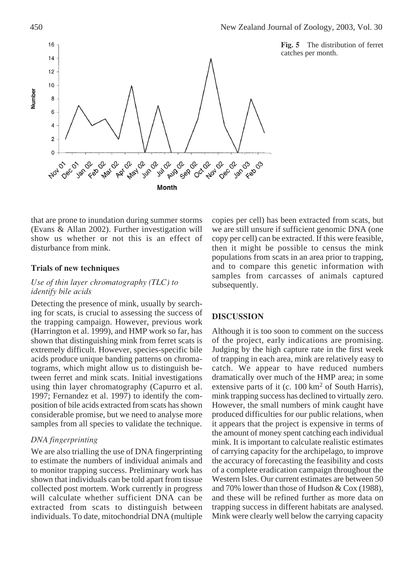



that are prone to inundation during summer storms (Evans & Allan 2002). Further investigation will show us whether or not this is an effect of disturbance from mink.

### **Trials of new techniques**

## *Use of thin layer chromatography (TLC) to identify bile acids*

Detecting the presence of mink, usually by searching for scats, is crucial to assessing the success of the trapping campaign. However, previous work (Harrington et al. 1999), and HMP work so far, has shown that distinguishing mink from ferret scats is extremely difficult. However, species-specific bile acids produce unique banding patterns on chromatograms, which might allow us to distinguish between ferret and mink scats. Initial investigations using thin layer chromatography (Capurro et al. 1997; Fernandez et al. 1997) to identify the composition of bile acids extracted from scats has shown considerable promise, but we need to analyse more samples from all species to validate the technique.

#### *DNA fingerprinting*

We are also trialling the use of DNA fingerprinting to estimate the numbers of individual animals and to monitor trapping success. Preliminary work has shown that individuals can be told apart from tissue collected post mortem. Work currently in progress will calculate whether sufficient DNA can be extracted from scats to distinguish between individuals. To date, mitochondrial DNA (multiple

copies per cell) has been extracted from scats, but we are still unsure if sufficient genomic DNA (one copy per cell) can be extracted. If this were feasible, then it might be possible to census the mink populations from scats in an area prior to trapping, and to compare this genetic information with samples from carcasses of animals captured subsequently.

#### **DISCUSSION**

Although it is too soon to comment on the success of the project, early indications are promising. Judging by the high capture rate in the first week of trapping in each area, mink are relatively easy to catch. We appear to have reduced numbers dramatically over much of the HMP area; in some extensive parts of it (c.  $100 \text{ km}^2$  of South Harris), mink trapping success has declined to virtually zero. However, the small numbers of mink caught have produced difficulties for our public relations, when it appears that the project is expensive in terms of the amount of money spent catching each individual mink. It is important to calculate realistic estimates of carrying capacity for the archipelago, to improve the accuracy of forecasting the feasibility and costs of a complete eradication campaign throughout the Western Isles. Our current estimates are between 50 and 70% lower than those of Hudson & Cox (1988), and these will be refined further as more data on trapping success in different habitats are analysed. Mink were clearly well below the carrying capacity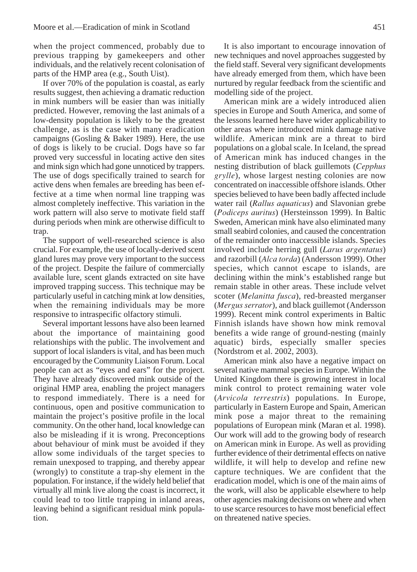when the project commenced, probably due to previous trapping by gamekeepers and other individuals, and the relatively recent colonisation of parts of the HMP area (e.g., South Uist).

If over 70% of the population is coastal, as early results suggest, then achieving a dramatic reduction in mink numbers will be easier than was initially predicted. However, removing the last animals of a low-density population is likely to be the greatest challenge, as is the case with many eradication campaigns (Gosling & Baker 1989). Here, the use of dogs is likely to be crucial. Dogs have so far proved very successful in locating active den sites and mink sign which had gone unnoticed by trappers. The use of dogs specifically trained to search for active dens when females are breeding has been effective at a time when normal line trapping was almost completely ineffective. This variation in the work pattern will also serve to motivate field staff during periods when mink are otherwise difficult to trap.

The support of well-researched science is also crucial. For example, the use of locally-derived scent gland lures may prove very important to the success of the project. Despite the failure of commercially available lure, scent glands extracted on site have improved trapping success. This technique may be particularly useful in catching mink at low densities, when the remaining individuals may be more responsive to intraspecific olfactory stimuli.

Several important lessons have also been learned about the importance of maintaining good relationships with the public. The involvement and support of local islanders is vital, and has been much encouraged by the Community Liaison Forum. Local people can act as "eyes and ears" for the project. They have already discovered mink outside of the original HMP area, enabling the project managers to respond immediately. There is a need for continuous, open and positive communication to maintain the project's positive profile in the local community. On the other hand, local knowledge can also be misleading if it is wrong. Preconceptions about behaviour of mink must be avoided if they allow some individuals of the target species to remain unexposed to trapping, and thereby appear (wrongly) to constitute a trap-shy element in the population. For instance, if the widely held belief that virtually all mink live along the coast is incorrect, it could lead to too little trapping in inland areas, leaving behind a significant residual mink population.

It is also important to encourage innovation of new techniques and novel approaches suggested by the field staff. Several very significant developments have already emerged from them, which have been nurtured by regular feedback from the scientific and modelling side of the project.

American mink are a widely introduced alien species in Europe and South America, and some of the lessons learned here have wider applicability to other areas where introduced mink damage native wildlife. American mink are a threat to bird populations on a global scale. In Iceland, the spread of American mink has induced changes in the nesting distribution of black guillemots (*Cepphus grylle*), whose largest nesting colonies are now concentrated on inaccessible offshore islands. Other species believed to have been badly affected include water rail (*Rallus aquaticus*) and Slavonian grebe (*Podiceps auritus*) (Hersteinsson 1999). In Baltic Sweden, American mink have also eliminated many small seabird colonies, and caused the concentration of the remainder onto inaccessible islands. Species involved include herring gull (*Larus argentatus*) and razorbill (*Alca torda*) (Andersson 1999). Other species, which cannot escape to islands, are declining within the mink's established range but remain stable in other areas. These include velvet scoter (*Melanitta fusca*), red-breasted merganser (*Mergus serrator*), and black guillemot (Andersson 1999). Recent mink control experiments in Baltic Finnish islands have shown how mink removal benefits a wide range of ground-nesting (mainly aquatic) birds, especially smaller species (Nordstrom et al. 2002, 2003).

American mink also have a negative impact on several native mammal species in Europe. Within the United Kingdom there is growing interest in local mink control to protect remaining water vole (*Arvicola terrestris*) populations. In Europe, particularly in Eastern Europe and Spain, American mink pose a major threat to the remaining populations of European mink (Maran et al. 1998). Our work will add to the growing body of research on American mink in Europe. As well as providing further evidence of their detrimental effects on native wildlife, it will help to develop and refine new capture techniques. We are confident that the eradication model, which is one of the main aims of the work, will also be applicable elsewhere to help other agencies making decisions on where and when to use scarce resources to have most beneficial effect on threatened native species.